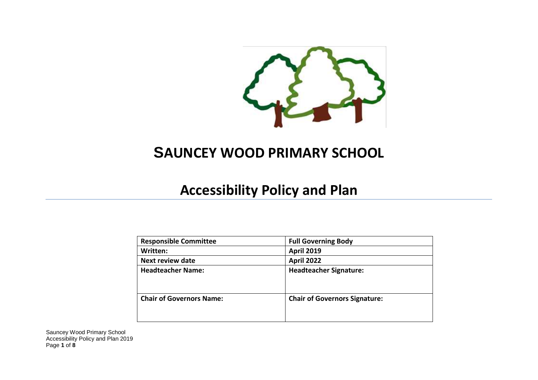

## **SAUNCEY WOOD PRIMARY SCHOOL**

## **Accessibility Policy and Plan**

| <b>Responsible Committee</b>    | <b>Full Governing Body</b>           |
|---------------------------------|--------------------------------------|
| Written:                        | <b>April 2019</b>                    |
| <b>Next review date</b>         | <b>April 2022</b>                    |
| <b>Headteacher Name:</b>        | <b>Headteacher Signature:</b>        |
| <b>Chair of Governors Name:</b> | <b>Chair of Governors Signature:</b> |

Sauncey Wood Primary School Accessibility Policy and Plan 2019 Page **1** of **8**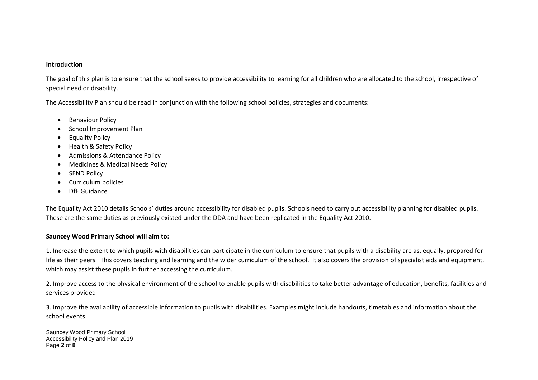## **Introduction**

The goal of this plan is to ensure that the school seeks to provide accessibility to learning for all children who are allocated to the school, irrespective of special need or disability.

The Accessibility Plan should be read in conjunction with the following school policies, strategies and documents:

- **•** Behaviour Policy
- School Improvement Plan
- **•** Equality Policy
- Health & Safety Policy
- Admissions & Attendance Policy
- Medicines & Medical Needs Policy
- SEND Policy
- Curriculum policies
- DfF Guidance

The Equality Act 2010 details Schools' duties around accessibility for disabled pupils. Schools need to carry out accessibility planning for disabled pupils. These are the same duties as previously existed under the DDA and have been replicated in the Equality Act 2010.

## **Sauncey Wood Primary School will aim to:**

1. Increase the extent to which pupils with disabilities can participate in the curriculum to ensure that pupils with a disability are as, equally, prepared for life as their peers. This covers teaching and learning and the wider curriculum of the school. It also covers the provision of specialist aids and equipment, which may assist these pupils in further accessing the curriculum.

2. Improve access to the physical environment of the school to enable pupils with disabilities to take better advantage of education, benefits, facilities and services provided

3. Improve the availability of accessible information to pupils with disabilities. Examples might include handouts, timetables and information about the school events.

Sauncey Wood Primary School Accessibility Policy and Plan 2019 Page **2** of **8**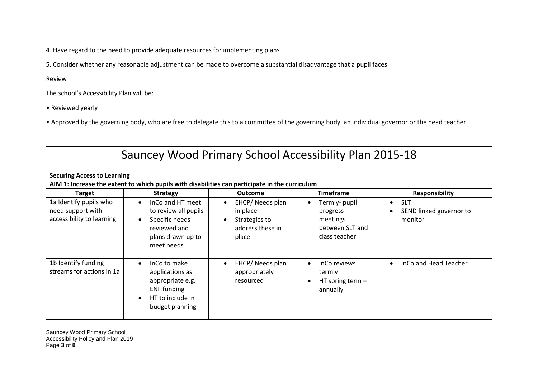4. Have regard to the need to provide adequate resources for implementing plans

5. Consider whether any reasonable adjustment can be made to overcome a substantial disadvantage that a pupil faces

Review

The school's Accessibility Plan will be:

• Reviewed yearly

• Approved by the governing body, who are free to delegate this to a committee of the governing body, an individual governor or the head teacher

| Sauncey Wood Primary School Accessibility Plan 2015-18                                    |                                                                                                                                               |                                                                                                          |                                                                           |                                                                                        |  |
|-------------------------------------------------------------------------------------------|-----------------------------------------------------------------------------------------------------------------------------------------------|----------------------------------------------------------------------------------------------------------|---------------------------------------------------------------------------|----------------------------------------------------------------------------------------|--|
| <b>Securing Access to Learning</b>                                                        |                                                                                                                                               |                                                                                                          |                                                                           |                                                                                        |  |
|                                                                                           | AIM 1: Increase the extent to which pupils with disabilities can participate in the curriculum                                                |                                                                                                          | <b>Timeframe</b>                                                          |                                                                                        |  |
| <b>Target</b><br>1a Identify pupils who<br>need support with<br>accessibility to learning | <b>Strategy</b><br>InCo and HT meet<br>$\bullet$<br>to review all pupils<br>Specific needs<br>reviewed and<br>plans drawn up to<br>meet needs | <b>Outcome</b><br>EHCP/Needs plan<br>$\bullet$<br>in place<br>Strategies to<br>address these in<br>place | Termly- pupil<br>progress<br>meetings<br>between SLT and<br>class teacher | <b>Responsibility</b><br><b>SLT</b><br>$\bullet$<br>SEND linked governor to<br>monitor |  |
| 1b Identify funding<br>streams for actions in 1a                                          | InCo to make<br>$\bullet$<br>applications as<br>appropriate e.g.<br><b>ENF</b> funding<br>HT to include in<br>budget planning                 | EHCP/Needs plan<br>appropriately<br>resourced                                                            | InCo reviews<br>$\bullet$<br>termly<br>HT spring term $-$<br>annually     | InCo and Head Teacher<br>$\bullet$                                                     |  |

Sauncey Wood Primary School Accessibility Policy and Plan 2019 Page **3** of **8**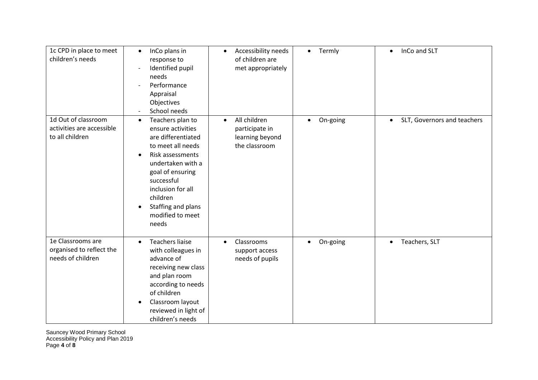| 1c CPD in place to meet<br>children's needs                         | InCo plans in<br>$\bullet$<br>response to<br>Identified pupil<br>needs<br>Performance<br>Appraisal<br>Objectives<br>School needs                                                                                                                                          | Accessibility needs<br>$\bullet$<br>of children are<br>met appropriately        | • Termly | InCo and SLT<br>$\bullet$                |
|---------------------------------------------------------------------|---------------------------------------------------------------------------------------------------------------------------------------------------------------------------------------------------------------------------------------------------------------------------|---------------------------------------------------------------------------------|----------|------------------------------------------|
| 1d Out of classroom<br>activities are accessible<br>to all children | Teachers plan to<br>$\bullet$<br>ensure activities<br>are differentiated<br>to meet all needs<br>Risk assessments<br>$\bullet$<br>undertaken with a<br>goal of ensuring<br>successful<br>inclusion for all<br>children<br>Staffing and plans<br>modified to meet<br>needs | All children<br>$\bullet$<br>participate in<br>learning beyond<br>the classroom | On-going | SLT, Governors and teachers<br>$\bullet$ |
| 1e Classrooms are<br>organised to reflect the<br>needs of children  | <b>Teachers liaise</b><br>$\bullet$<br>with colleagues in<br>advance of<br>receiving new class<br>and plan room<br>according to needs<br>of children<br>Classroom layout<br>reviewed in light of<br>children's needs                                                      | Classrooms<br>$\bullet$<br>support access<br>needs of pupils                    | On-going | Teachers, SLT<br>$\bullet$               |

Sauncey Wood Primary School Accessibility Policy and Plan 2019 Page **4** of **8**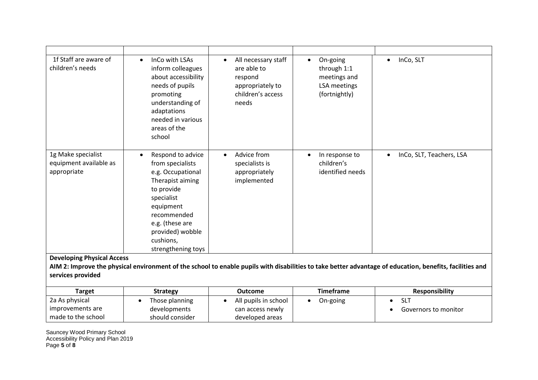|                                                                          | needed in various<br>areas of the<br>school                                                                                                                                                                                   |                                                               |                                                               |                                       |
|--------------------------------------------------------------------------|-------------------------------------------------------------------------------------------------------------------------------------------------------------------------------------------------------------------------------|---------------------------------------------------------------|---------------------------------------------------------------|---------------------------------------|
| 1g Make specialist<br>$\bullet$<br>equipment available as<br>appropriate | Respond to advice<br>$\bullet$<br>from specialists<br>e.g. Occupational<br>Therapist aiming<br>to provide<br>specialist<br>equipment<br>recommended<br>e.g. (these are<br>provided) wobble<br>cushions,<br>strengthening toys | Advice from<br>specialists is<br>appropriately<br>implemented | In response to<br>$\bullet$<br>children's<br>identified needs | InCo, SLT, Teachers, LSA<br>$\bullet$ |

| Target             | <b>Strategy</b> | <b>Outcome</b>       | Timeframe | <b>Responsibility</b> |
|--------------------|-----------------|----------------------|-----------|-----------------------|
| 2a As physical     | Those planning  | All pupils in school | On-going  | SĽ                    |
| improvements are   | developments    | can access newly     |           | Governors to monitor  |
| made to the school | should consider | developed areas      |           |                       |

Sauncey Wood Primary School Accessibility Policy and Plan 2019 Page **5** of **8**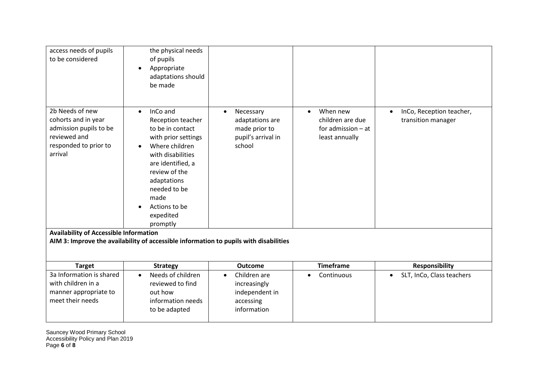| access needs of pupils<br>to be considered                                                                                                                            | the physical needs<br>of pupils<br>Appropriate<br>$\bullet$<br>adaptations should<br>be made                                                                                                                                                                                                                                                 |                                                                                            |                                                                        |                                                |
|-----------------------------------------------------------------------------------------------------------------------------------------------------------------------|----------------------------------------------------------------------------------------------------------------------------------------------------------------------------------------------------------------------------------------------------------------------------------------------------------------------------------------------|--------------------------------------------------------------------------------------------|------------------------------------------------------------------------|------------------------------------------------|
| 2b Needs of new<br>cohorts and in year<br>admission pupils to be<br>reviewed and<br>responded to prior to<br>arrival<br><b>Availability of Accessible Information</b> | InCo and<br>$\bullet$<br>Reception teacher<br>to be in contact<br>with prior settings<br>Where children<br>with disabilities<br>are identified, a<br>review of the<br>adaptations<br>needed to be<br>made<br>Actions to be<br>expedited<br>promptly<br>AIM 3: Improve the availability of accessible information to pupils with disabilities | Necessary<br>$\bullet$<br>adaptations are<br>made prior to<br>pupil's arrival in<br>school | When new<br>children are due<br>for admission $-$ at<br>least annually | InCo, Reception teacher,<br>transition manager |
|                                                                                                                                                                       |                                                                                                                                                                                                                                                                                                                                              |                                                                                            |                                                                        |                                                |
| <b>Target</b>                                                                                                                                                         | <b>Strategy</b>                                                                                                                                                                                                                                                                                                                              | <b>Outcome</b>                                                                             | <b>Timeframe</b>                                                       | <b>Responsibility</b>                          |
| 3a Information is shared                                                                                                                                              | Needs of children                                                                                                                                                                                                                                                                                                                            | Children are<br>$\bullet$                                                                  | Continuous                                                             | SLT, InCo, Class teachers                      |
| with children in a                                                                                                                                                    | reviewed to find                                                                                                                                                                                                                                                                                                                             | increasingly                                                                               |                                                                        |                                                |
| manner appropriate to                                                                                                                                                 | out how                                                                                                                                                                                                                                                                                                                                      | independent in                                                                             |                                                                        |                                                |
| meet their needs                                                                                                                                                      | information needs                                                                                                                                                                                                                                                                                                                            | accessing                                                                                  |                                                                        |                                                |
|                                                                                                                                                                       | to be adapted                                                                                                                                                                                                                                                                                                                                | information                                                                                |                                                                        |                                                |

Sauncey Wood Primary School Accessibility Policy and Plan 2019 Page **6** of **8**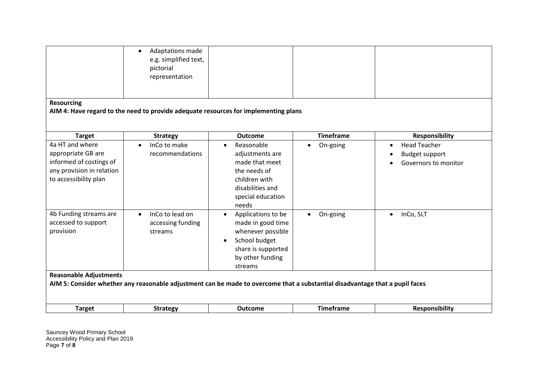| <b>Resourcing</b>                                                                                                                                             | Adaptations made<br>$\bullet$<br>e.g. simplified text,<br>pictorial<br>representation |                                                                                                                                                 |                       |                                                                                   |
|---------------------------------------------------------------------------------------------------------------------------------------------------------------|---------------------------------------------------------------------------------------|-------------------------------------------------------------------------------------------------------------------------------------------------|-----------------------|-----------------------------------------------------------------------------------|
|                                                                                                                                                               | AIM 4: Have regard to the need to provide adequate resources for implementing plans   |                                                                                                                                                 |                       |                                                                                   |
|                                                                                                                                                               |                                                                                       |                                                                                                                                                 |                       |                                                                                   |
| <b>Target</b>                                                                                                                                                 | <b>Strategy</b>                                                                       | <b>Outcome</b>                                                                                                                                  | <b>Timeframe</b>      | <b>Responsibility</b>                                                             |
| 4a HT and where<br>appropriate GB are<br>informed of costings of<br>any provision in relation<br>to accessibility plan                                        | InCo to make<br>$\bullet$<br>recommendations                                          | Reasonable<br>$\bullet$<br>adjustments are<br>made that meet<br>the needs of<br>children with<br>disabilities and<br>special education<br>needs | On-going              | <b>Head Teacher</b><br>$\bullet$<br><b>Budget support</b><br>Governors to monitor |
| 4b Funding streams are<br>accessed to support<br>provision                                                                                                    | InCo to lead on<br>$\bullet$<br>accessing funding<br>streams                          | Applications to be<br>$\bullet$<br>made in good time<br>whenever possible<br>School budget<br>share is supported<br>by other funding<br>streams | On-going<br>$\bullet$ | InCo, SLT<br>$\bullet$                                                            |
| <b>Reasonable Adjustments</b><br>AIM 5: Consider whether any reasonable adjustment can be made to overcome that a substantial disadvantage that a pupil faces |                                                                                       |                                                                                                                                                 |                       |                                                                                   |
| <b>Target</b>                                                                                                                                                 | <b>Strategy</b>                                                                       | <b>Outcome</b>                                                                                                                                  | <b>Timeframe</b>      | <b>Responsibility</b>                                                             |

Sauncey Wood Primary School Accessibility Policy and Plan 2019 Page **7** of **8**